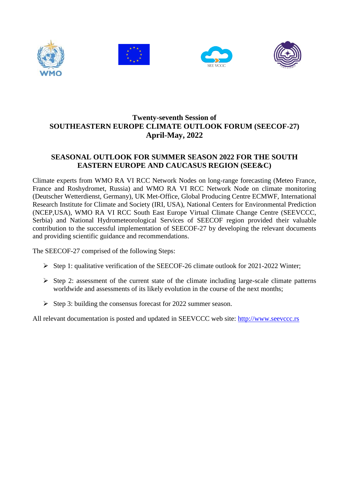







# **Twenty-seventh Session of SOUTHEASTERN EUROPE CLIMATE OUTLOOK FORUM (SEECOF-27) April-May, 2022**

### **SEASONAL OUTLOOK FOR SUMMER SEASON 2022 FOR THE SOUTH EASTERN EUROPE AND CAUCASUS REGION (SEE&C)**

Climate experts from WMO RA VI RCC Network Nodes on long-range forecasting (Meteo France, France and Roshydromet, Russia) and WMO RA VI RCC Network Node on climate monitoring (Deutscher Wetterdienst, Germany), UK Met-Office, Global Producing Centre ECMWF, International Research Institute for Climate and Society (IRI, USA), National Centers for Environmental Prediction (NCEP,USA), WMO RA VI RCC South East Europe Virtual Climate Change Centre (SEEVCCC, Serbia) and National Hydrometeorological Services of SEECOF region provided their valuable contribution to the successful implementation of SEECOF-27 by developing the relevant documents and providing scientific guidance and recommendations.

The SEECOF-27 comprised of the following Steps:

- $\triangleright$  Step 1: qualitative verification of the SEECOF-26 climate outlook for 2021-2022 Winter;
- $\triangleright$  Step 2: assessment of the current state of the climate including large-scale climate patterns worldwide and assessments of its likely evolution in the course of the next months;
- $\triangleright$  Step 3: building the consensus forecast for 2022 summer season.

All relevant documentation is posted and updated in SEEVCCC web site: [http://www.seevccc.rs](http://www.seevccc.rs/)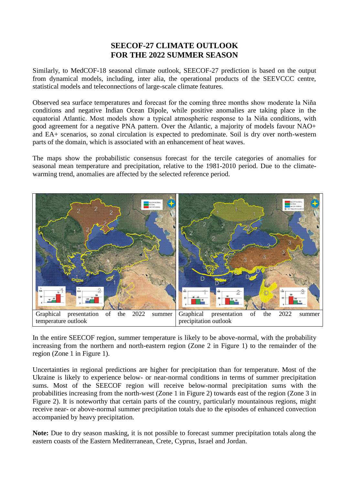# **SEECOF-27 CLIMATE OUTLOOK FOR THE 2022 SUMMER SEASON**

Similarly, to MedCOF-18 seasonal climate outlook, SEECOF-27 prediction is based on the output from dynamical models, including, inter alia, the operational products of the SEEVCCC centre, statistical models and teleconnections of large-scale climate features.

Observed sea surface temperatures and forecast for the coming three months show moderate la Niña conditions and negative Indian Ocean Dipole, while positive anomalies are taking place in the equatorial Atlantic. Most models show a typical atmospheric response to la Niña conditions, with good agreement for a negative PNA pattern. Over the Atlantic, a majority of models favour NAO+ and EA+ scenarios, so zonal circulation is expected to predominate. Soil is dry over north-western parts of the domain, which is associated with an enhancement of heat waves.

The maps show the probabilistic consensus forecast for the tercile categories of anomalies for seasonal mean temperature and precipitation, relative to the 1981-2010 period. Due to the climatewarming trend, anomalies are affected by the selected reference period.



In the entire SEECOF region, summer temperature is likely to be above-normal, with the probability increasing from the northern and north-eastern region (Zone 2 in Figure 1) to the remainder of the region (Zone 1 in Figure 1).

Uncertainties in regional predictions are higher for precipitation than for temperature. Most of the Ukraine is likely to experience below- or near-normal conditions in terms of summer precipitation sums. Most of the SEECOF region will receive below-normal precipitation sums with the probabilities increasing from the north-west (Zone 1 in Figure 2) towards east of the region (Zone 3 in Figure 2). It is noteworthy that certain parts of the country, particularly mountainous regions, might receive near- or above-normal summer precipitation totals due to the episodes of enhanced convection accompanied by heavy precipitation.

**Note:** Due to dry season masking, it is not possible to forecast summer precipitation totals along the eastern coasts of the Eastern Mediterranean, Crete, Cyprus, Israel and Jordan.